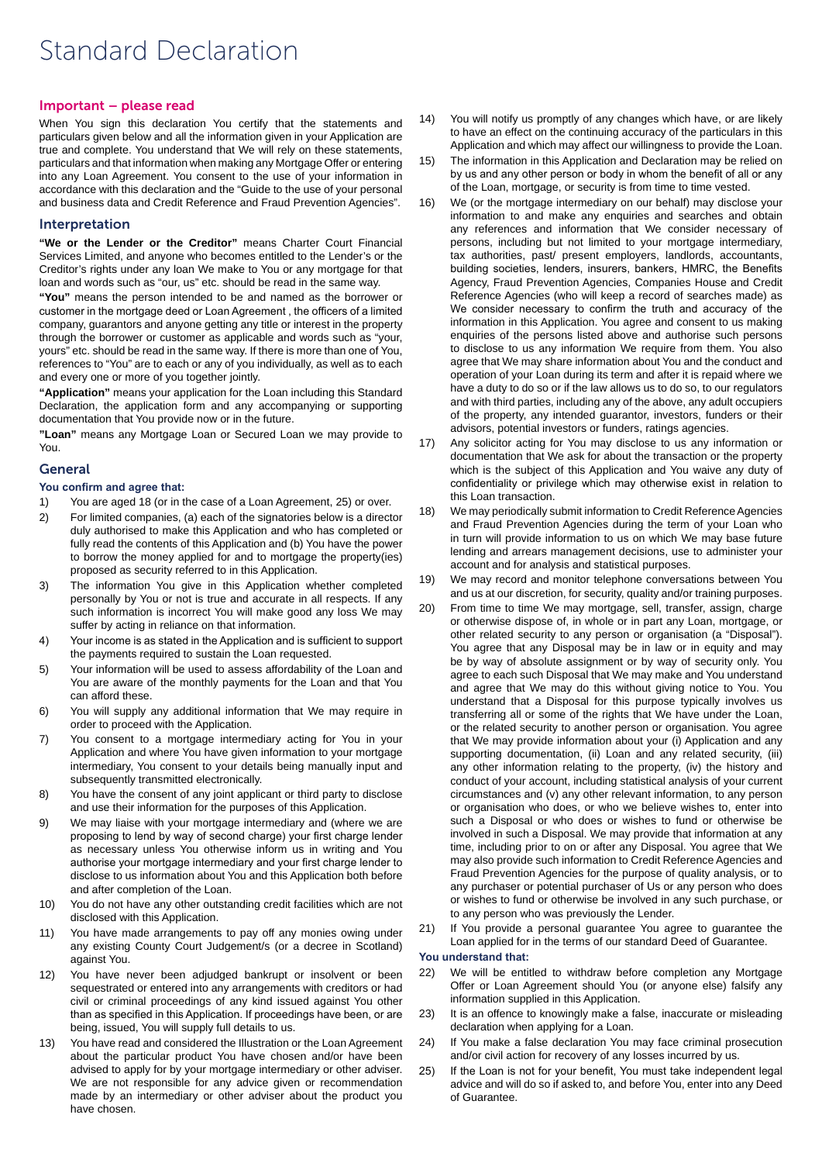# Standard Declaration

#### Important – please read

When You sign this declaration You certify that the statements and particulars given below and all the information given in your Application are true and complete. You understand that We will rely on these statements, particulars and that information when making any Mortgage Offer or entering into any Loan Agreement. You consent to the use of your information in accordance with this declaration and the "Guide to the use of your personal and business data and Credit Reference and Fraud Prevention Agencies".

#### Interpretation

**"We or the Lender or the Creditor"** means Charter Court Financial Services Limited, and anyone who becomes entitled to the Lender's or the Creditor's rights under any loan We make to You or any mortgage for that loan and words such as "our, us" etc. should be read in the same way.

**"You"** means the person intended to be and named as the borrower or customer in the mortgage deed or Loan Agreement , the officers of a limited company, guarantors and anyone getting any title or interest in the property through the borrower or customer as applicable and words such as "your, yours" etc. should be read in the same way. If there is more than one of You, references to "You" are to each or any of you individually, as well as to each and every one or more of you together jointly.

**"Application"** means your application for the Loan including this Standard Declaration, the application form and any accompanying or supporting documentation that You provide now or in the future.

**"Loan"** means any Mortgage Loan or Secured Loan we may provide to You.

## General

#### **You confirm and agree that:**

- 1) You are aged 18 (or in the case of a Loan Agreement, 25) or over.
- 2) For limited companies, (a) each of the signatories below is a director duly authorised to make this Application and who has completed or fully read the contents of this Application and (b) You have the power to borrow the money applied for and to mortgage the property(ies) proposed as security referred to in this Application.
- 3) The information You give in this Application whether completed personally by You or not is true and accurate in all respects. If any such information is incorrect You will make good any loss We may suffer by acting in reliance on that information.
- 4) Your income is as stated in the Application and is sufficient to support the payments required to sustain the Loan requested.
- 5) Your information will be used to assess affordability of the Loan and You are aware of the monthly payments for the Loan and that You can afford these.
- 6) You will supply any additional information that We may require in order to proceed with the Application.
- 7) You consent to a mortgage intermediary acting for You in your Application and where You have given information to your mortgage intermediary, You consent to your details being manually input and subsequently transmitted electronically.
- 8) You have the consent of any joint applicant or third party to disclose and use their information for the purposes of this Application.
- 9) We may liaise with your mortgage intermediary and (where we are proposing to lend by way of second charge) your first charge lender as necessary unless You otherwise inform us in writing and You authorise your mortgage intermediary and your first charge lender to disclose to us information about You and this Application both before and after completion of the Loan.
- 10) You do not have any other outstanding credit facilities which are not disclosed with this Application.
- 11) You have made arrangements to pay off any monies owing under any existing County Court Judgement/s (or a decree in Scotland) against You.
- 12) You have never been adjudged bankrupt or insolvent or been sequestrated or entered into any arrangements with creditors or had civil or criminal proceedings of any kind issued against You other than as specified in this Application. If proceedings have been, or are being, issued, You will supply full details to us.
- 13) You have read and considered the Illustration or the Loan Agreement about the particular product You have chosen and/or have been advised to apply for by your mortgage intermediary or other adviser. We are not responsible for any advice given or recommendation made by an intermediary or other adviser about the product you have chosen.
- 14) You will notify us promptly of any changes which have, or are likely to have an effect on the continuing accuracy of the particulars in this Application and which may affect our willingness to provide the Loan.
- 15) The information in this Application and Declaration may be relied on by us and any other person or body in whom the benefit of all or any of the Loan, mortgage, or security is from time to time vested.
- 16) We (or the mortgage intermediary on our behalf) may disclose your information to and make any enquiries and searches and obtain any references and information that We consider necessary of persons, including but not limited to your mortgage intermediary, tax authorities, past/ present employers, landlords, accountants, building societies, lenders, insurers, bankers, HMRC, the Benefits Agency, Fraud Prevention Agencies, Companies House and Credit Reference Agencies (who will keep a record of searches made) as We consider necessary to confirm the truth and accuracy of the information in this Application. You agree and consent to us making enquiries of the persons listed above and authorise such persons to disclose to us any information We require from them. You also agree that We may share information about You and the conduct and operation of your Loan during its term and after it is repaid where we have a duty to do so or if the law allows us to do so, to our regulators and with third parties, including any of the above, any adult occupiers of the property, any intended guarantor, investors, funders or their advisors, potential investors or funders, ratings agencies.
- 17) Any solicitor acting for You may disclose to us any information or documentation that We ask for about the transaction or the property which is the subject of this Application and You waive any duty of confidentiality or privilege which may otherwise exist in relation to this Loan transaction.
- 18) We may periodically submit information to Credit Reference Agencies and Fraud Prevention Agencies during the term of your Loan who in turn will provide information to us on which We may base future lending and arrears management decisions, use to administer your account and for analysis and statistical purposes.
- 19) We may record and monitor telephone conversations between You and us at our discretion, for security, quality and/or training purposes.
- 20) From time to time We may mortgage, sell, transfer, assign, charge or otherwise dispose of, in whole or in part any Loan, mortgage, or other related security to any person or organisation (a "Disposal"). You agree that any Disposal may be in law or in equity and may be by way of absolute assignment or by way of security only. You agree to each such Disposal that We may make and You understand and agree that We may do this without giving notice to You. You understand that a Disposal for this purpose typically involves us transferring all or some of the rights that We have under the Loan, or the related security to another person or organisation. You agree that We may provide information about your (i) Application and any supporting documentation, (ii) Loan and any related security, (iii) any other information relating to the property, (iv) the history and conduct of your account, including statistical analysis of your current circumstances and (v) any other relevant information, to any person or organisation who does, or who we believe wishes to, enter into such a Disposal or who does or wishes to fund or otherwise be involved in such a Disposal. We may provide that information at any time, including prior to on or after any Disposal. You agree that We may also provide such information to Credit Reference Agencies and Fraud Prevention Agencies for the purpose of quality analysis, or to any purchaser or potential purchaser of Us or any person who does or wishes to fund or otherwise be involved in any such purchase, or to any person who was previously the Lender.
- 21) If You provide a personal guarantee You agree to guarantee the Loan applied for in the terms of our standard Deed of Guarantee.

#### **You understand that:**

- 22) We will be entitled to withdraw before completion any Mortgage Offer or Loan Agreement should You (or anyone else) falsify any information supplied in this Application.
- 23) It is an offence to knowingly make a false, inaccurate or misleading declaration when applying for a Loan.
- 24) If You make a false declaration You may face criminal prosecution and/or civil action for recovery of any losses incurred by us.
- 25) If the Loan is not for your benefit, You must take independent legal advice and will do so if asked to, and before You, enter into any Deed of Guarantee.